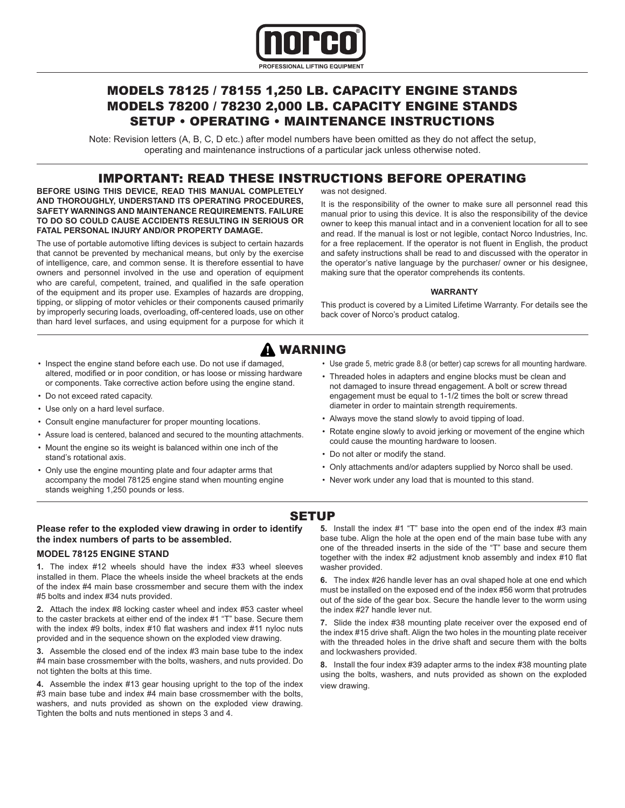

## MODELS 78125 / 78155 1,250 LB. CAPACITY ENGINE STANDS MODELS 78200 / 78230 2,000 LB. CAPACITY ENGINE STANDS SETUP • OPERATING • MAINTENANCE INSTRUCTIONS

Note: Revision letters (A, B, C, D etc.) after model numbers have been omitted as they do not affect the setup, operating and maintenance instructions of a particular jack unless otherwise noted.

## IMPORTANT: READ THESE INSTRUCTIONS BEFORE OPERATING

**BEFORE USING THIS DEVICE, READ THIS MANUAL COMPLETELY AND THOROUGHLY, UNDERSTAND ITS OPERATING PROCEDURES, SAFETY WARNINGS AND MAINTENANCE REQUIREMENTS. FAILURE TO DO SO COULD CAUSE ACCIDENTS RESULTING IN SERIOUS OR FATAL PERSONAL INJURY AND/OR PROPERTY DAMAGE.**

The use of portable automotive lifting devices is subject to certain hazards that cannot be prevented by mechanical means, but only by the exercise of intelligence, care, and common sense. It is therefore essential to have owners and personnel involved in the use and operation of equipment who are careful, competent, trained, and qualified in the safe operation of the equipment and its proper use. Examples of hazards are dropping, tipping, or slipping of motor vehicles or their components caused primarily by improperly securing loads, overloading, off-centered loads, use on other than hard level surfaces, and using equipment for a purpose for which it was not designed.

It is the responsibility of the owner to make sure all personnel read this manual prior to using this device. It is also the responsibility of the device owner to keep this manual intact and in a convenient location for all to see and read. If the manual is lost or not legible, contact Norco Industries, Inc. for a free replacement. If the operator is not fluent in English, the product and safety instructions shall be read to and discussed with the operator in the operator's native language by the purchaser/ owner or his designee, making sure that the operator comprehends its contents.

#### **WARRANTY**

This product is covered by a Limited Lifetime Warranty. For details see the back cover of Norco's product catalog.

# WARNING

- Inspect the engine stand before each use. Do not use if damaged, altered, modified or in poor condition, or has loose or missing hardware or components. Take corrective action before using the engine stand.
- Do not exceed rated capacity.
- Use only on a hard level surface.
- Consult engine manufacturer for proper mounting locations.
- Assure load is centered, balanced and secured to the mounting attachments.
- Mount the engine so its weight is balanced within one inch of the stand's rotational axis.
- Only use the engine mounting plate and four adapter arms that accompany the model 78125 engine stand when mounting engine stands weighing 1,250 pounds or less.
- Use grade 5, metric grade 8.8 (or better) cap screws for all mounting hardware.
- Threaded holes in adapters and engine blocks must be clean and not damaged to insure thread engagement. A bolt or screw thread engagement must be equal to 1-1/2 times the bolt or screw thread diameter in order to maintain strength requirements.
- Always move the stand slowly to avoid tipping of load.
- Rotate engine slowly to avoid jerking or movement of the engine which could cause the mounting hardware to loosen.
- Do not alter or modify the stand.
- Only attachments and/or adapters supplied by Norco shall be used.
- Never work under any load that is mounted to this stand.

### **SETUP**

#### **Please refer to the exploded view drawing in order to identify the index numbers of parts to be assembled. MODEL 78125 ENGINE STAND**

**1.** The index #12 wheels should have the index #33 wheel sleeves

installed in them. Place the wheels inside the wheel brackets at the ends of the index #4 main base crossmember and secure them with the index #5 bolts and index #34 nuts provided.

**2.** Attach the index #8 locking caster wheel and index #53 caster wheel to the caster brackets at either end of the index #1 "T" base. Secure them with the index #9 bolts, index #10 flat washers and index #11 nyloc nuts provided and in the sequence shown on the exploded view drawing.

**3.** Assemble the closed end of the index #3 main base tube to the index #4 main base crossmember with the bolts, washers, and nuts provided. Do not tighten the bolts at this time.

**4.** Assemble the index #13 gear housing upright to the top of the index #3 main base tube and index #4 main base crossmember with the bolts, washers, and nuts provided as shown on the exploded view drawing. Tighten the bolts and nuts mentioned in steps 3 and 4.

**5.** Install the index #1 "T" base into the open end of the index #3 main base tube. Align the hole at the open end of the main base tube with any one of the threaded inserts in the side of the "T" base and secure them together with the index #2 adjustment knob assembly and index #10 flat washer provided.

**6.** The index #26 handle lever has an oval shaped hole at one end which must be installed on the exposed end of the index #56 worm that protrudes out of the side of the gear box. Secure the handle lever to the worm using the index #27 handle lever nut.

**7.** Slide the index #38 mounting plate receiver over the exposed end of the index #15 drive shaft. Align the two holes in the mounting plate receiver with the threaded holes in the drive shaft and secure them with the bolts and lockwashers provided.

**8.** Install the four index #39 adapter arms to the index #38 mounting plate using the bolts, washers, and nuts provided as shown on the exploded view drawing.